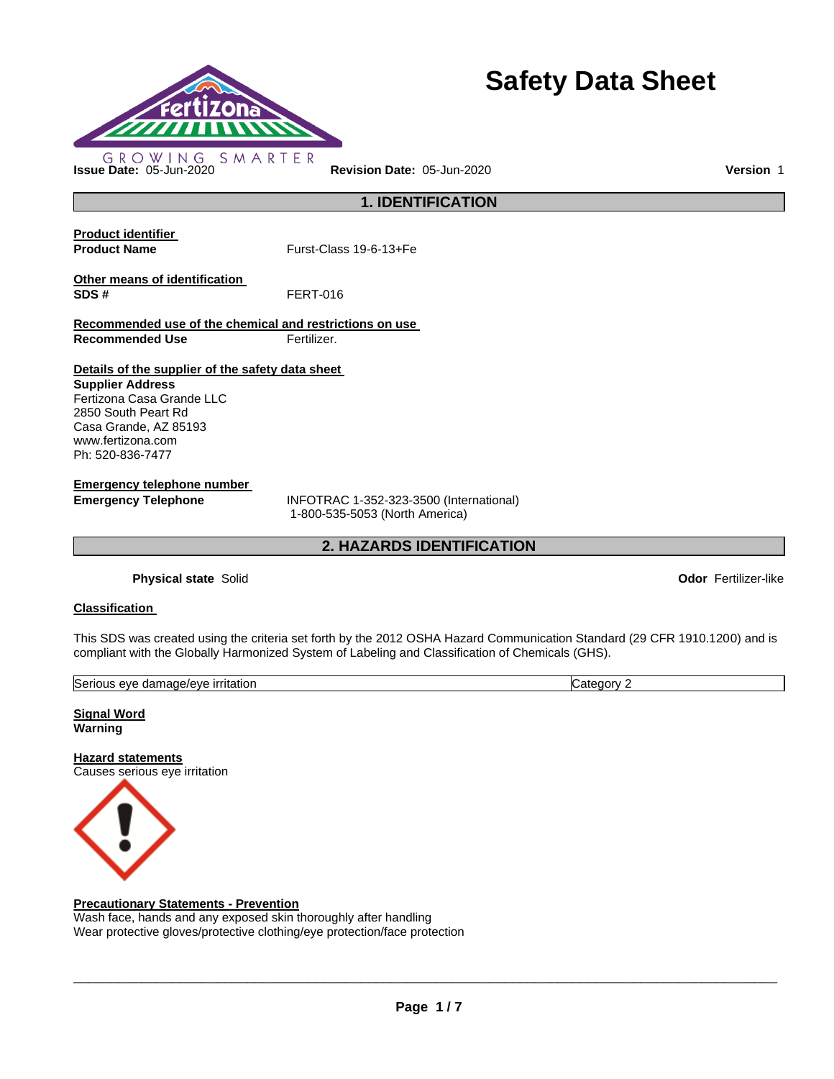

# **Safety Data Sheet**

**1. IDENTIFICATION** 

**Product identifier** 

**Product Name Furst-Class 19-6-13+Fe** 

**Other means of identification SDS #** FERT-016

**Recommended use of the chemical and restrictions on use Recommended Use Fertilizer.** 

# **Details of the supplier of the safety data sheet**

**Supplier Address** Fertizona Casa Grande LLC 2850 South Peart Rd Casa Grande, AZ 85193 www.fertizona.com Ph: 520-836-7477

**Emergency telephone number** 

**Emergency Telephone** INFOTRAC 1-352-323-3500 (International) 1-800-535-5053 (North America)

**2. HAZARDS IDENTIFICATION** 

**Physical state** Solid **Odor** Fertilizer-like

### **Classification**

This SDS was created using the criteria set forth by the 2012 OSHA Hazard Communication Standard (29 CFR 1910.1200) and is compliant with the Globally Harmonized System of Labeling and Classification of Chemicals (GHS).

| Serious<br>. irritation<br>nade/eve<br>AVA<br>nar<br>.<br>. | ∿ח∩ר<br>n÷⁄<br>ا الہ . |
|-------------------------------------------------------------|------------------------|
|                                                             |                        |

**Signal Word Warning** 

**Hazard statements** Causes serious eye irritation



### **Precautionary Statements - Prevention**

Wash face, hands and any exposed skin thoroughly after handling Wear protective gloves/protective clothing/eye protection/face protection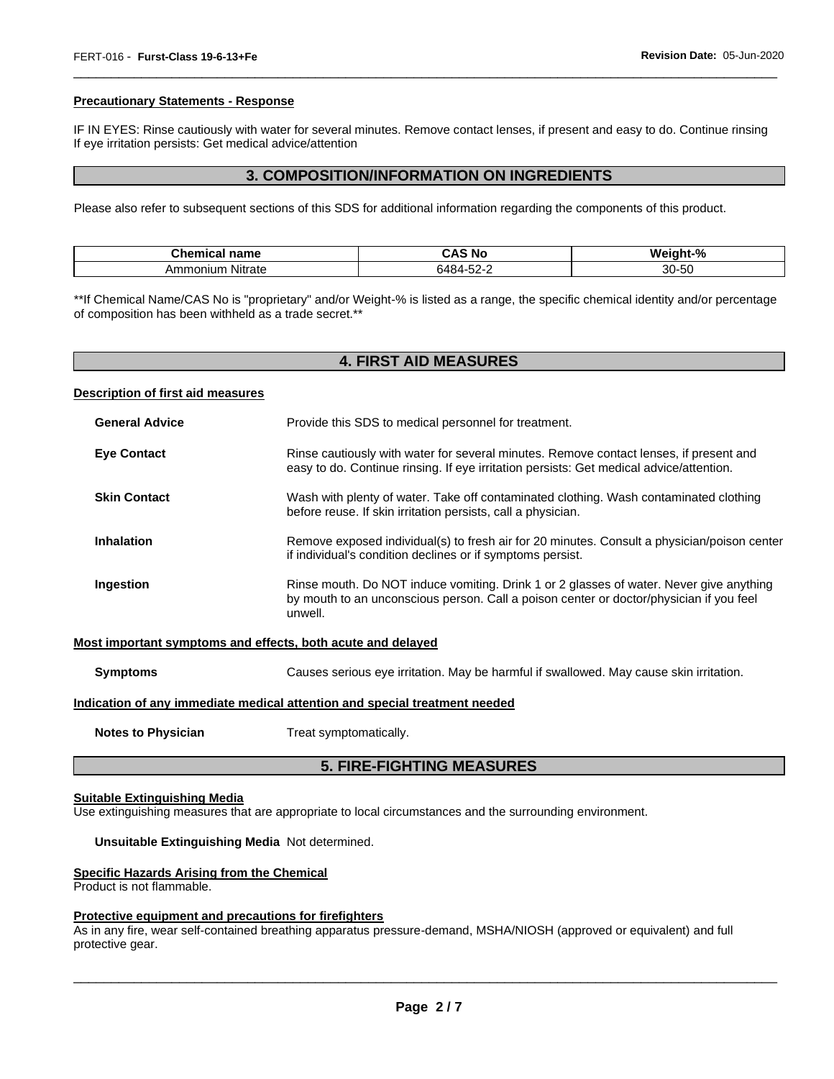#### **Precautionary Statements - Response**

IF IN EYES: Rinse cautiously with water for several minutes. Remove contact lenses, if present and easy to do. Continue rinsing If eye irritation persists: Get medical advice/attention

\_\_\_\_\_\_\_\_\_\_\_\_\_\_\_\_\_\_\_\_\_\_\_\_\_\_\_\_\_\_\_\_\_\_\_\_\_\_\_\_\_\_\_\_\_\_\_\_\_\_\_\_\_\_\_\_\_\_\_\_\_\_\_\_\_\_\_\_\_\_\_\_\_\_\_\_\_\_\_\_\_\_\_\_\_\_\_\_\_\_\_\_\_

# **3. COMPOSITION/INFORMATION ON INGREDIENTS**

Please also refer to subsequent sections of this SDS for additional information regarding the components of this product.

| name<br>.<br>emical<br>∟ne           | ۰^<br>N0<br>unc               | $-90$<br>We.<br>المامت<br>alant |
|--------------------------------------|-------------------------------|---------------------------------|
| .<br>Nitrate<br>monium<br>Amr<br>ann | $\sim$ $\sim$<br>ካ4.<br>-94-4 | $\sim$<br>$30 -$<br>-5ບ         |

\*\*If Chemical Name/CAS No is "proprietary" and/or Weight-% is listed as a range, the specific chemical identity and/or percentage of composition has been withheld as a trade secret.\*\*

**4. FIRST AID MEASURES** 

| Description of first aid measures |                                                                                                                                                                                   |  |
|-----------------------------------|-----------------------------------------------------------------------------------------------------------------------------------------------------------------------------------|--|
| <b>General Advice</b>             | Provide this SDS to medical personnel for treatment.                                                                                                                              |  |
| <b>Eye Contact</b>                | Rinse cautiously with water for several minutes. Remove contact lenses, if present and<br>easy to do. Continue rinsing. If eye irritation persists: Get medical advice/attention. |  |

| Skin Contact | Wash with plenty of water. Take off contaminated clothing. Wash contaminated clothing |
|--------------|---------------------------------------------------------------------------------------|
|              | before reuse. If skin irritation persists, call a physician.                          |

- **Inhalation** Remove exposed individual(s) to fresh air for 20 minutes. Consult a physician/poison center if individual's condition declines or if symptoms persist.
- **Ingestion Rinse mouth. Do NOT induce vomiting. Drink 1 or 2 glasses of water. Never give anything** by mouth to an unconscious person. Call a poison center or doctor/physician if you feel unwell.

#### **Most important symptoms and effects, both acute and delayed**

| Symptoms | Causes serious eye irritation. May be harmful if swallowed. May cause skin irritation. |
|----------|----------------------------------------------------------------------------------------|
|          |                                                                                        |

#### **Indication of any immediate medical attention and special treatment needed**

**Notes to Physician**  Treat symptomatically.

#### **5. FIRE-FIGHTING MEASURES**

#### **Suitable Extinguishing Media**

Use extinguishing measures that are appropriate to local circumstances and the surrounding environment.

#### **Unsuitable Extinguishing Media** Not determined.

#### **Specific Hazards Arising from the Chemical**

Product is not flammable.

#### **Protective equipment and precautions for firefighters**

As in any fire, wear self-contained breathing apparatus pressure-demand, MSHA/NIOSH (approved or equivalent) and full protective gear.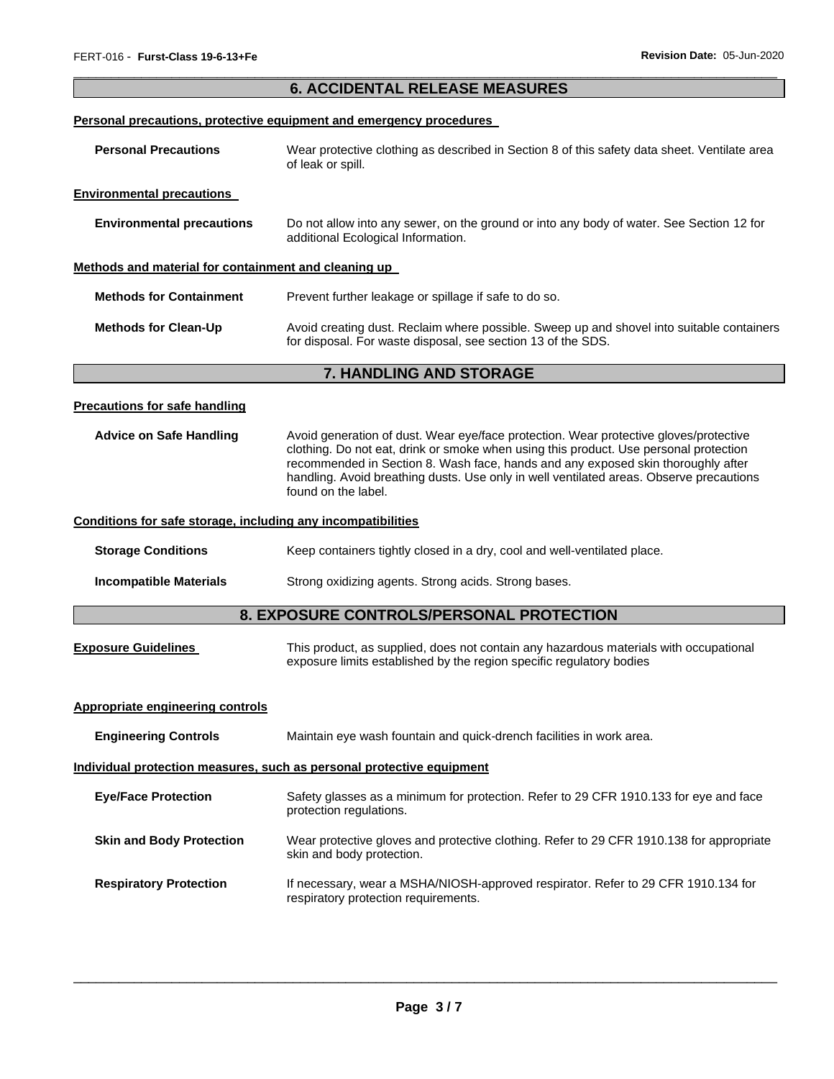# \_\_\_\_\_\_\_\_\_\_\_\_\_\_\_\_\_\_\_\_\_\_\_\_\_\_\_\_\_\_\_\_\_\_\_\_\_\_\_\_\_\_\_\_\_\_\_\_\_\_\_\_\_\_\_\_\_\_\_\_\_\_\_\_\_\_\_\_\_\_\_\_\_\_\_\_\_\_\_\_\_\_\_\_\_\_\_\_\_\_\_\_\_ **6. ACCIDENTAL RELEASE MEASURES Personal precautions, protective equipment and emergency procedures Personal Precautions** Wear protective clothing as described in Section 8 of this safety data sheet. Ventilate area of leak or spill. **Environmental precautions Environmental precautions** Do not allow into any sewer, on the ground or into any body of water. See Section 12 for additional Ecological Information. **Methods and material for containment and cleaning up Methods for Containment** Prevent further leakage or spillage if safe to do so. **Methods for Clean-Up** Avoid creating dust. Reclaim where possible. Sweep up and shovel into suitable containers for disposal. For waste disposal, see section 13 of the SDS. **7. HANDLING AND STORAGE Precautions for safe handling** Advice on Safe Handling **Auxilian** Avoid generation of dust. Wear eye/face protection. Wear protective gloves/protective clothing. Do not eat, drink or smoke when using this product. Use personal protection recommended in Section 8. Wash face, hands and any exposed skin thoroughly after handling. Avoid breathing dusts. Use only in well ventilated areas. Observe precautions found on the label. **Conditions for safe storage, including any incompatibilities Storage Conditions Keep containers tightly closed in a dry, cool and well-ventilated place. Incompatible Materials Strong oxidizing agents. Strong acids. Strong bases. 8. EXPOSURE CONTROLS/PERSONAL PROTECTION Exposure Guidelines** This product, as supplied, does not contain any hazardous materials with occupational exposure limits established by the region specific regulatory bodies **Appropriate engineering controls Engineering Controls** Maintain eye wash fountain and quick-drench facilities in work area.

### **Individual protection measures, such as personal protective equipment**

| <b>Eye/Face Protection</b>      | Safety glasses as a minimum for protection. Refer to 29 CFR 1910.133 for eye and face<br>protection regulations.      |
|---------------------------------|-----------------------------------------------------------------------------------------------------------------------|
| <b>Skin and Body Protection</b> | Wear protective gloves and protective clothing. Refer to 29 CFR 1910.138 for appropriate<br>skin and body protection. |
| <b>Respiratory Protection</b>   | If necessary, wear a MSHA/NIOSH-approved respirator. Refer to 29 CFR 1910.134 for                                     |

respiratory protection requirements.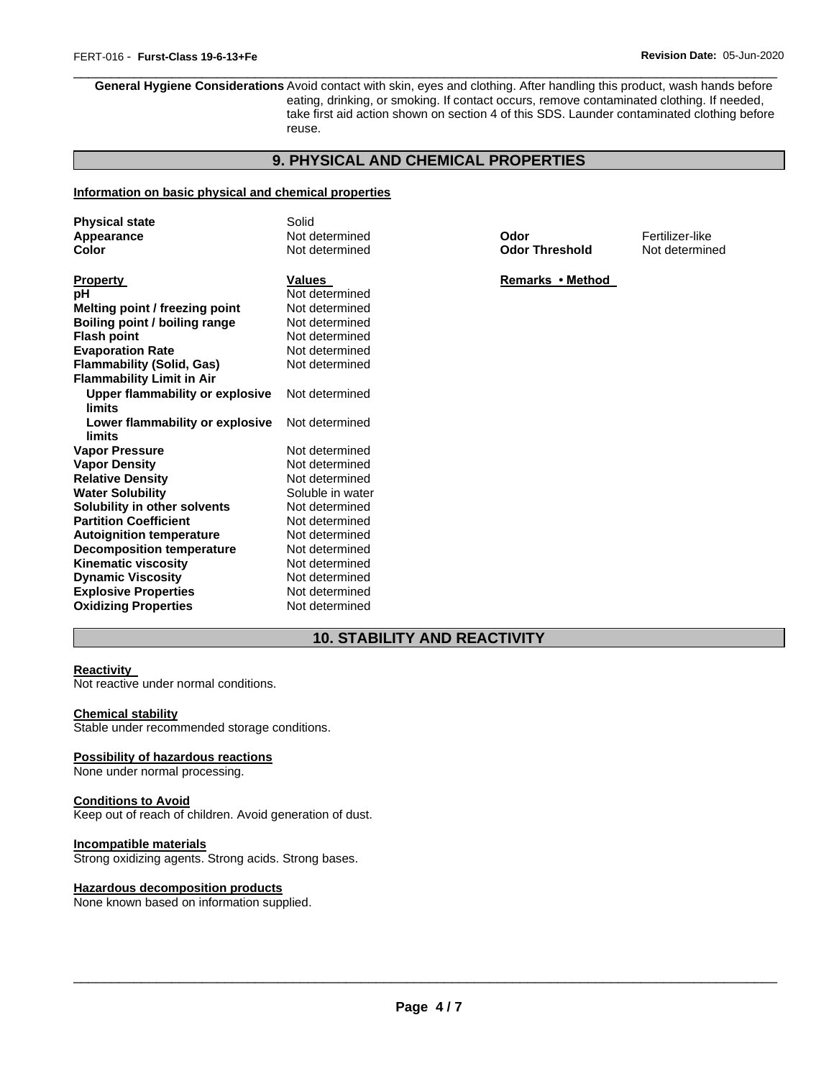\_\_\_\_\_\_\_\_\_\_\_\_\_\_\_\_\_\_\_\_\_\_\_\_\_\_\_\_\_\_\_\_\_\_\_\_\_\_\_\_\_\_\_\_\_\_\_\_\_\_\_\_\_\_\_\_\_\_\_\_\_\_\_\_\_\_\_\_\_\_\_\_\_\_\_\_\_\_\_\_\_\_\_\_\_\_\_\_\_\_\_\_\_ **General Hygiene Considerations** Avoid contact with skin, eyes and clothing. After handling this product, wash hands before eating, drinking, or smoking. If contact occurs, remove contaminated clothing. If needed, take first aid action shown on section 4 of this SDS. Launder contaminated clothing before reuse.

# **9. PHYSICAL AND CHEMICAL PROPERTIES**

#### **Information on basic physical and chemical properties**

| <b>Physical state</b>            | Solid            |                       |                 |
|----------------------------------|------------------|-----------------------|-----------------|
| Appearance                       | Not determined   | Odor                  | Fertilizer-like |
| Color                            | Not determined   | <b>Odor Threshold</b> | Not determined  |
|                                  |                  |                       |                 |
| <b>Property</b>                  | Values           | Remarks • Method      |                 |
| рH                               | Not determined   |                       |                 |
| Melting point / freezing point   | Not determined   |                       |                 |
| Boiling point / boiling range    | Not determined   |                       |                 |
| <b>Flash point</b>               | Not determined   |                       |                 |
| <b>Evaporation Rate</b>          | Not determined   |                       |                 |
| <b>Flammability (Solid, Gas)</b> | Not determined   |                       |                 |
| <b>Flammability Limit in Air</b> |                  |                       |                 |
| Upper flammability or explosive  | Not determined   |                       |                 |
| limits                           |                  |                       |                 |
| Lower flammability or explosive  | Not determined   |                       |                 |
| limits                           |                  |                       |                 |
| <b>Vapor Pressure</b>            | Not determined   |                       |                 |
| <b>Vapor Density</b>             | Not determined   |                       |                 |
| <b>Relative Density</b>          | Not determined   |                       |                 |
| <b>Water Solubility</b>          | Soluble in water |                       |                 |
| Solubility in other solvents     | Not determined   |                       |                 |
| <b>Partition Coefficient</b>     | Not determined   |                       |                 |
| <b>Autoignition temperature</b>  | Not determined   |                       |                 |
| <b>Decomposition temperature</b> | Not determined   |                       |                 |
| <b>Kinematic viscosity</b>       | Not determined   |                       |                 |
| <b>Dynamic Viscosity</b>         | Not determined   |                       |                 |
| <b>Explosive Properties</b>      | Not determined   |                       |                 |
| <b>Oxidizing Properties</b>      | Not determined   |                       |                 |

# **10. STABILITY AND REACTIVITY**

#### **Reactivity**

Not reactive under normal conditions.

#### **Chemical stability**

Stable under recommended storage conditions.

#### **Possibility of hazardous reactions**

None under normal processing.

#### **Conditions to Avoid**

Keep out of reach of children. Avoid generation of dust.

#### **Incompatible materials**

Strong oxidizing agents. Strong acids. Strong bases.

#### **Hazardous decomposition products**

None known based on information supplied.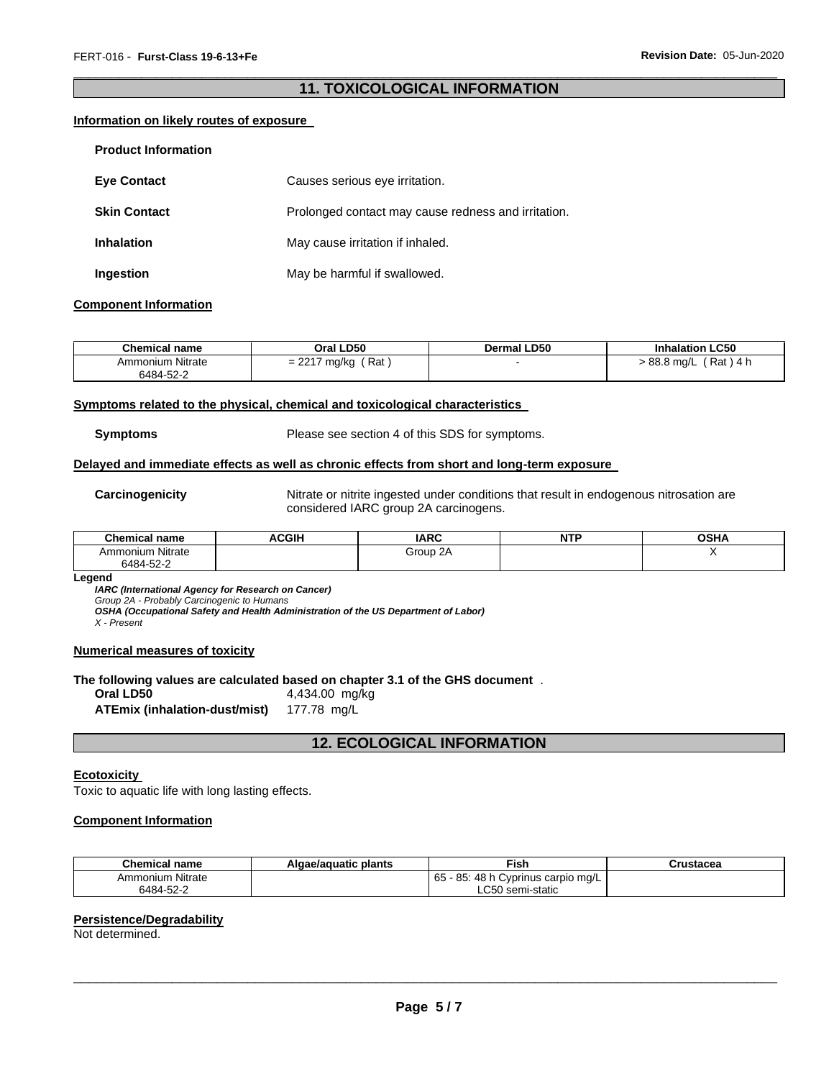#### \_\_\_\_\_\_\_\_\_\_\_\_\_\_\_\_\_\_\_\_\_\_\_\_\_\_\_\_\_\_\_\_\_\_\_\_\_\_\_\_\_\_\_\_\_\_\_\_\_\_\_\_\_\_\_\_\_\_\_\_\_\_\_\_\_\_\_\_\_\_\_\_\_\_\_\_\_\_\_\_\_\_\_\_\_\_\_\_\_\_\_\_\_ **11. TOXICOLOGICAL INFORMATION**

#### **Information on likely routes of exposure**

| <b>Product Information</b> |                                                     |
|----------------------------|-----------------------------------------------------|
| <b>Eve Contact</b>         | Causes serious eye irritation.                      |
| <b>Skin Contact</b>        | Prolonged contact may cause redness and irritation. |
| <b>Inhalation</b>          | May cause irritation if inhaled.                    |
| Ingestion                  | May be harmful if swallowed.                        |

#### **Component Information**

| Chemical name    | Oral LD50            | <b>Dermal LD50</b> | <b>Inhalation LC50</b>     |
|------------------|----------------------|--------------------|----------------------------|
| Ammonium Nitrate | = 2217 mg/kg<br>(Rat |                    | ′ Rat ) 4 h<br>> 88.8 mg/L |
| 6484-52-2        |                      |                    |                            |

#### **Symptoms related to the physical, chemical and toxicological characteristics**

**Symptoms** Please see section 4 of this SDS for symptoms.

#### **Delayed and immediate effects as well as chronic effects from short and long-term exposure**

**Carcinogenicity** Nitrate or nitrite ingested under conditions that result in endogenous nitrosation are considered IARC group 2A carcinogens.

| Chemical<br>name        | <b>ACGIH</b> | <b>IARC</b> | <b>NTP</b> | <b>OSHA</b> |
|-------------------------|--------------|-------------|------------|-------------|
| <b>Ammonium Nitrate</b> |              | Group 2A    |            | . .         |
| 6484-52-2               |              |             |            |             |

#### **Legend**

*IARC (International Agency for Research on Cancer)*

*Group 2A - Probably Carcinogenic to Humans* 

*OSHA (Occupational Safety and Health Administration of the US Department of Labor)*

*X - Present* 

#### **Numerical measures of toxicity**

**The following values are calculated based on chapter 3.1 of the GHS document** .

**Oral LD50** 4,434.00 mg/kg

**ATEmix (inhalation-dust/mist)** 177.78 mg/L

# **12. ECOLOGICAL INFORMATION**

#### **Ecotoxicity**

Toxic to aquatic life with long lasting effects.

#### **Component Information**

| Chemical name           | Algae/aguatic plants | Tish                                          | Crustacea |
|-------------------------|----------------------|-----------------------------------------------|-----------|
| <b>Ammonium Nitrate</b> |                      | 65<br>85.<br>. 48 h<br>h Cyprinus carpio mg/L |           |
| 6484-52-2               |                      | LC50 semi-static                              |           |

#### **Persistence/Degradability**

Not determined.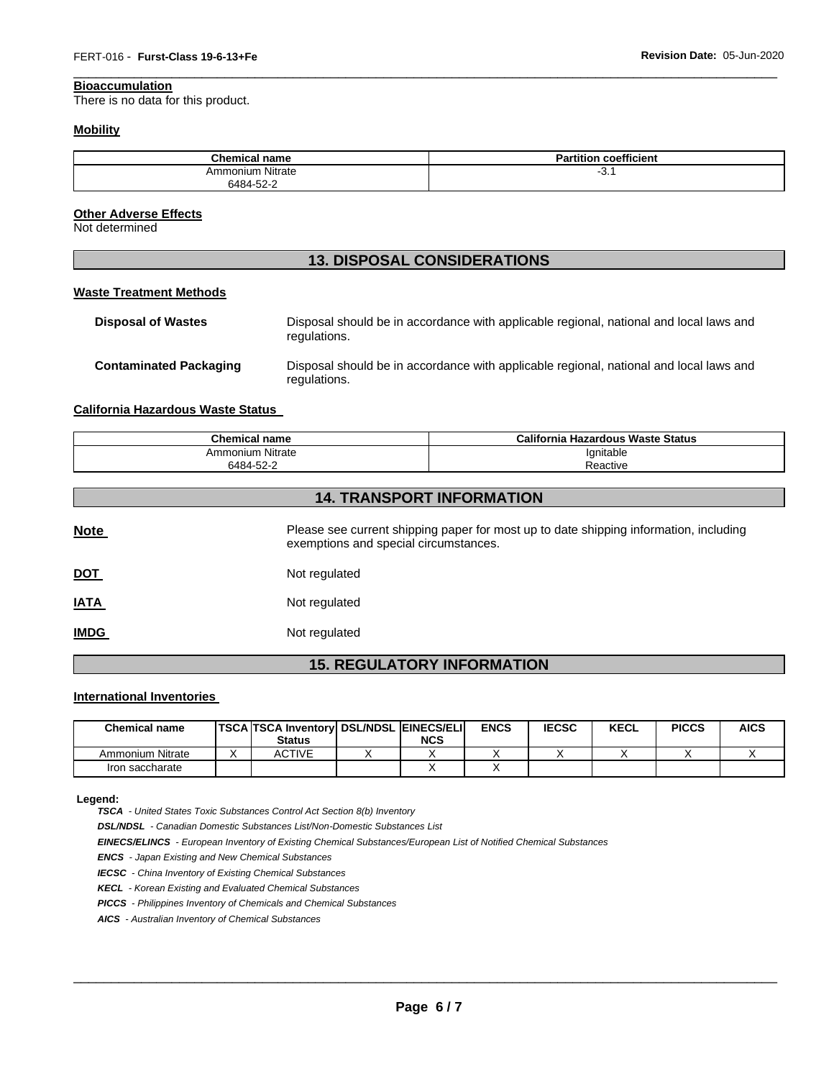#### **Bioaccumulation**

There is no data for this product.

#### **Mobility**

| <b>Chemical name</b>    | <b>Partition coefficient</b> |
|-------------------------|------------------------------|
| <b>Ammonium Nitrate</b> | ∹ບ. .                        |
| 6484-52-2               |                              |

\_\_\_\_\_\_\_\_\_\_\_\_\_\_\_\_\_\_\_\_\_\_\_\_\_\_\_\_\_\_\_\_\_\_\_\_\_\_\_\_\_\_\_\_\_\_\_\_\_\_\_\_\_\_\_\_\_\_\_\_\_\_\_\_\_\_\_\_\_\_\_\_\_\_\_\_\_\_\_\_\_\_\_\_\_\_\_\_\_\_\_\_\_

#### **Other Adverse Effects**

Not determined

# **13. DISPOSAL CONSIDERATIONS**

#### **Waste Treatment Methods**

| <b>Disposal of Wastes</b>     | Disposal should be in accordance with applicable regional, national and local laws and<br>regulations. |
|-------------------------------|--------------------------------------------------------------------------------------------------------|
| <b>Contaminated Packaging</b> | Disposal should be in accordance with applicable regional, national and local laws and<br>regulations. |

#### **California Hazardous Waste Status**

| <b>Chemical name</b>    | California Hazardous Waste Status |
|-------------------------|-----------------------------------|
| <b>Ammonium Nitrate</b> | Ignitable                         |
| 6484-52-2               | Reactive                          |

# **14. TRANSPORT INFORMATION**

| <b>Note</b> | Please see current shipping paper for most up to date shipping information, including<br>exemptions and special circumstances. |
|-------------|--------------------------------------------------------------------------------------------------------------------------------|
| <u>DOT</u>  | Not regulated                                                                                                                  |
| <b>IATA</b> | Not regulated                                                                                                                  |
| <b>IMDG</b> | Not regulated                                                                                                                  |

# **15. REGULATORY INFORMATION**

### **International Inventories**

| <b>Chemical name</b> | <b>TSCA TSCA Inventory DSL/NDSL EINECS/ELI</b><br><b>Status</b> | <b>NCS</b> | <b>ENCS</b> | <b>IECSC</b> | <b>KECL</b> | <b>PICCS</b> | <b>AICS</b> |
|----------------------|-----------------------------------------------------------------|------------|-------------|--------------|-------------|--------------|-------------|
| Ammonium Nitrate     | ACTIVE                                                          |            |             |              |             |              |             |
| Iron saccharate      |                                                                 |            |             |              |             |              |             |

#### **Legend:**

*TSCA - United States Toxic Substances Control Act Section 8(b) Inventory* 

*DSL/NDSL - Canadian Domestic Substances List/Non-Domestic Substances List* 

*EINECS/ELINCS - European Inventory of Existing Chemical Substances/European List of Notified Chemical Substances* 

*ENCS - Japan Existing and New Chemical Substances* 

*IECSC - China Inventory of Existing Chemical Substances* 

*KECL - Korean Existing and Evaluated Chemical Substances* 

*PICCS - Philippines Inventory of Chemicals and Chemical Substances* 

*AICS - Australian Inventory of Chemical Substances*